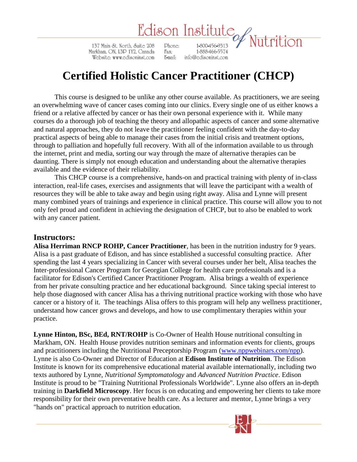# Edison Institute<br>Wite 208 Phone: 1.800.456.9313 / Nutrition

137 Main St. North, Suite 208 Markham, ON, L3D 1Y2, Canada Website: www.edisoninst.com

1-888-466-5574 Fax: E-mail: info@cdisoninst.com

## **Certified Holistic Cancer Practitioner (CHCP)**

This course is designed to be unlike any other course available. As practitioners, we are seeing an overwhelming wave of cancer cases coming into our clinics. Every single one of us either knows a friend or a relative affected by cancer or has their own personal experience with it. While many courses do a thorough job of teaching the theory and allopathic aspects of cancer and some alternative and natural approaches, they do not leave the practitioner feeling confident with the day-to-day practical aspects of being able to manage their cases from the initial crisis and treatment options, through to palliation and hopefully full recovery. With all of the information available to us through the internet, print and media, sorting our way through the maze of alternative therapies can be daunting. There is simply not enough education and understanding about the alternative therapies available and the evidence of their reliability.

This CHCP course is a comprehensive, hands-on and practical training with plenty of in-class interaction, real-life cases, exercises and assignments that will leave the participant with a wealth of resources they will be able to take away and begin using right away. Alisa and Lynne will present many combined years of trainings and experience in clinical practice. This course will allow you to not only feel proud and confident in achieving the designation of CHCP, but to also be enabled to work with any cancer patient.

## **Instructors:**

**Alisa Herriman RNCP ROHP, Cancer Practitioner**, has been in the nutrition industry for 9 years. Alisa is a past graduate of Edison, and has since established a successful consulting practice. After spending the last 4 years specializing in Cancer with several courses under her belt, Alisa teaches the Inter-professional Cancer Program for Georgian College for health care professionals and is a facilitator for Edison's Certified Cancer Practitioner Program. Alisa brings a wealth of experience from her private consulting practice and her educational background. Since taking special interest to help those diagnosed with cancer Alisa has a thriving nutritional practice working with those who have cancer or a history of it. The teachings Alisa offers to this program will help any wellness practitioner, understand how cancer grows and develops, and how to use complimentary therapies within your practice.

**Lynne Hinton, BSc, BEd, RNT/ROHP** is Co-Owner of Health House nutritional consulting in Markham, ON. Health House provides nutrition seminars and information events for clients, groups and practitioners including the Nutritional Preceptorship Program [\(www.nppwebinars.com/npp\)](http://www.nppwebinars.com/npp). Lynne is also Co-Owner and Director of Education at **Edison Institute of Nutrition**. The Edison Institute is known for its comprehensive educational material available internationally, including two texts authored by Lynne, *Nutritional Symptomatology* and *Advanced Nutrition Practice*. Edison Institute is proud to be "Training Nutritional Professionals Worldwide". Lynne also offers an in-depth training in **Darkfield Microscopy**. Her focus is on educating and empowering her clients to take more responsibility for their own preventative health care. As a lecturer and mentor, Lynne brings a very "hands on" practical approach to nutrition education.